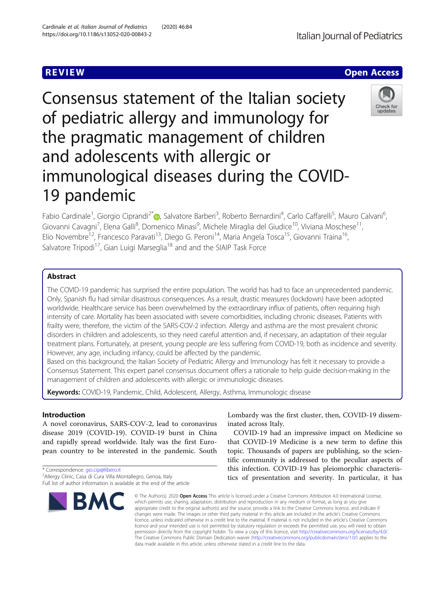Consensus statement of the Italian society of pediatric allergy and immunology for the pragmatic management of children and adolescents with allergic or immunological diseases during the COVID-19 pandemic

Fabio Cardinale<sup>1</sup>, Giorgio Ciprandi<sup>2\*</sup>®, Salvatore Barberi<sup>3</sup>, Roberto Bernardini<sup>4</sup>, Carlo Caffarelli<sup>5</sup>, Mauro Calvani<sup>6</sup> .<br>, Giovanni Cavagni<sup>7</sup>, Elena Galli<sup>8</sup>, Domenico Minasi<sup>9</sup>, Michele Miraglia del Giudice<sup>10</sup>, Viviana Moschese<sup>11</sup>, Elio Novembre<sup>12</sup>, Francesco Paravati<sup>13</sup>, Diego G. Peroni<sup>14</sup>, Maria Angela Tosca<sup>15</sup>, Giovanni Traina<sup>16</sup>, Salvatore Tripodi<sup>17</sup>, Gian Luigi Marseglia<sup>18</sup> and and the SIAIP Task Force

# Abstract

The COVID-19 pandemic has surprised the entire population. The world has had to face an unprecedented pandemic. Only, Spanish flu had similar disastrous consequences. As a result, drastic measures (lockdown) have been adopted worldwide. Healthcare service has been overwhelmed by the extraordinary influx of patients, often requiring high intensity of care. Mortality has been associated with severe comorbidities, including chronic diseases. Patients with frailty were, therefore, the victim of the SARS-COV-2 infection. Allergy and asthma are the most prevalent chronic disorders in children and adolescents, so they need careful attention and, if necessary, an adaptation of their regular treatment plans. Fortunately, at present, young people are less suffering from COVID-19, both as incidence and severity. However, any age, including infancy, could be affected by the pandemic.

Based on this background, the Italian Society of Pediatric Allergy and Immunology has felt it necessary to provide a Consensus Statement. This expert panel consensus document offers a rationale to help guide decision-making in the management of children and adolescents with allergic or immunologic diseases.

Keywords: COVID-19, Pandemic, Child, Adolescent, Allergy, Asthma, Immunologic disease

## Introduction

A novel coronavirus, SARS-COV-2, lead to coronavirus disease 2019 (COVID-19). COVID-19 burst in China and rapidly spread worldwide. Italy was the first European country to be interested in the pandemic. South

\* Correspondence: [gio.cip@libero.it](mailto:gio.cip@libero.it) <sup>2</sup>

Lombardy was the first cluster, then, COVID-19 disseminated across Italy.

COVID-19 had an impressive impact on Medicine so that COVID-19 Medicine is a new term to define this topic. Thousands of papers are publishing, so the scientific community is addressed to the peculiar aspects of this infection. COVID-19 has pleiomorphic characteristics of presentation and severity. In particular, it has

© The Author(s), 2020 **Open Access** This article is licensed under a Creative Commons Attribution 4.0 International License, which permits use, sharing, adaptation, distribution and reproduction in any medium or format, as long as you give appropriate credit to the original author(s) and the source, provide a link to the Creative Commons licence, and indicate if changes were made. The images or other third party material in this article are included in the article's Creative Commons licence, unless indicated otherwise in a credit line to the material. If material is not included in the article's Creative Commons licence and your intended use is not permitted by statutory regulation or exceeds the permitted use, you will need to obtain permission directly from the copyright holder. To view a copy of this licence, visit [http://creativecommons.org/licenses/by/4.0/.](http://creativecommons.org/licenses/by/4.0/) The Creative Commons Public Domain Dedication waiver [\(http://creativecommons.org/publicdomain/zero/1.0/](http://creativecommons.org/publicdomain/zero/1.0/)) applies to the data made available in this article, unless otherwise stated in a credit line to the data.

Check for undate



<sup>&</sup>lt;sup>2</sup> Allergy Clinic, Casa di Cura Villa Montallegro, Genoa, Italy Full list of author information is available at the end of the article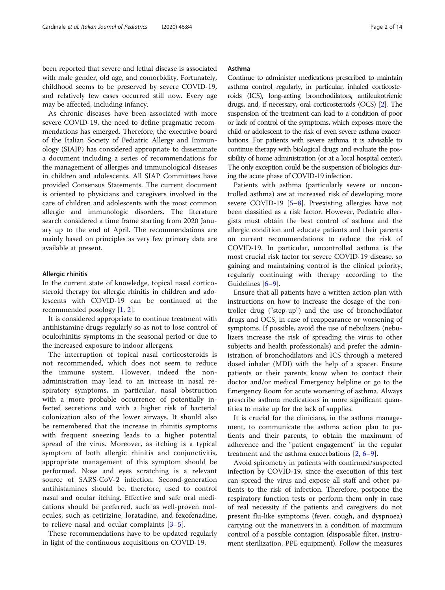been reported that severe and lethal disease is associated with male gender, old age, and comorbidity. Fortunately, childhood seems to be preserved by severe COVID-19, and relatively few cases occurred still now. Every age may be affected, including infancy.

As chronic diseases have been associated with more severe COVID-19, the need to define pragmatic recommendations has emerged. Therefore, the executive board of the Italian Society of Pediatric Allergy and Immunology (SIAIP) has considered appropriate to disseminate a document including a series of recommendations for the management of allergies and immunological diseases in children and adolescents. All SIAP Committees have provided Consensus Statements. The current document is oriented to physicians and caregivers involved in the care of children and adolescents with the most common allergic and immunologic disorders. The literature search considered a time frame starting from 2020 January up to the end of April. The recommendations are mainly based on principles as very few primary data are available at present.

#### Allergic rhinitis

In the current state of knowledge, topical nasal corticosteroid therapy for allergic rhinitis in children and adolescents with COVID-19 can be continued at the recommended posology [\[1](#page-11-0), [2](#page-11-0)].

It is considered appropriate to continue treatment with antihistamine drugs regularly so as not to lose control of oculorhinitis symptoms in the seasonal period or due to the increased exposure to indoor allergens.

The interruption of topical nasal corticosteroids is not recommended, which does not seem to reduce the immune system. However, indeed the nonadministration may lead to an increase in nasal respiratory symptoms, in particular, nasal obstruction with a more probable occurrence of potentially infected secretions and with a higher risk of bacterial colonization also of the lower airways. It should also be remembered that the increase in rhinitis symptoms with frequent sneezing leads to a higher potential spread of the virus. Moreover, as itching is a typical symptom of both allergic rhinitis and conjunctivitis, appropriate management of this symptom should be performed. Nose and eyes scratching is a relevant source of SARS-CoV-2 infection. Second-generation antihistamines should be, therefore, used to control nasal and ocular itching. Effective and safe oral medications should be preferred, such as well-proven molecules, such as cetirizine, loratadine, and fexofenadine, to relieve nasal and ocular complaints [[3](#page-11-0)–[5](#page-11-0)].

These recommendations have to be updated regularly in light of the continuous acquisitions on COVID-19.

## Asthma

Continue to administer medications prescribed to maintain asthma control regularly, in particular, inhaled corticosteroids (ICS), long-acting bronchodilators, antileukotrienic drugs, and, if necessary, oral corticosteroids (OCS) [\[2](#page-11-0)]. The suspension of the treatment can lead to a condition of poor or lack of control of the symptoms, which exposes more the child or adolescent to the risk of even severe asthma exacerbations. For patients with severe asthma, it is advisable to continue therapy with biological drugs and evaluate the possibility of home administration (or at a local hospital center). The only exception could be the suspension of biologics during the acute phase of COVID-19 infection.

Patients with asthma (particularly severe or uncontrolled asthma) are at increased risk of developing more severe COVID-19 [[5](#page-11-0)–[8](#page-11-0)]. Preexisting allergies have not been classified as a risk factor. However, Pediatric allergists must obtain the best control of asthma and the allergic condition and educate patients and their parents on current recommendations to reduce the risk of COVID-19. In particular, uncontrolled asthma is the most crucial risk factor for severe COVID-19 disease, so gaining and maintaining control is the clinical priority, regularly continuing with therapy according to the Guidelines [\[6](#page-11-0)–[9](#page-11-0)].

Ensure that all patients have a written action plan with instructions on how to increase the dosage of the controller drug ("step-up") and the use of bronchodilator drugs and OCS, in case of reappearance or worsening of symptoms. If possible, avoid the use of nebulizers (nebulizers increase the risk of spreading the virus to other subjects and health professionals) and prefer the administration of bronchodilators and ICS through a metered dosed inhaler (MDI) with the help of a spacer. Ensure patients or their parents know when to contact their doctor and/or medical Emergency helpline or go to the Emergency Room for acute worsening of asthma. Always prescribe asthma medications in more significant quantities to make up for the lack of supplies.

It is crucial for the clinicians, in the asthma management, to communicate the asthma action plan to patients and their parents, to obtain the maximum of adherence and the "patient engagement" in the regular treatment and the asthma exacerbations [\[2](#page-11-0), [6](#page-11-0)–[9](#page-11-0)].

Avoid spirometry in patients with confirmed/suspected infection by COVID-19, since the execution of this test can spread the virus and expose all staff and other patients to the risk of infection. Therefore, postpone the respiratory function tests or perform them only in case of real necessity if the patients and caregivers do not present flu-like symptoms (fever, cough, and dyspnoea) carrying out the maneuvers in a condition of maximum control of a possible contagion (disposable filter, instrument sterilization, PPE equipment). Follow the measures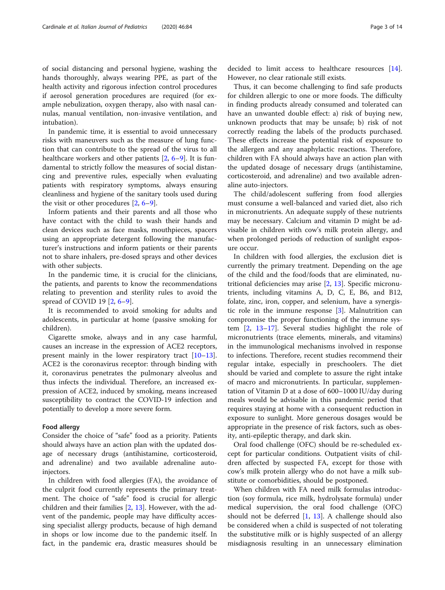of social distancing and personal hygiene, washing the hands thoroughly, always wearing PPE, as part of the health activity and rigorous infection control procedures if aerosol generation procedures are required (for example nebulization, oxygen therapy, also with nasal cannulas, manual ventilation, non-invasive ventilation, and intubation).

In pandemic time, it is essential to avoid unnecessary risks with maneuvers such as the measure of lung function that can contribute to the spread of the virus to all healthcare workers and other patients  $[2, 6-9]$  $[2, 6-9]$  $[2, 6-9]$  $[2, 6-9]$  $[2, 6-9]$  $[2, 6-9]$ . It is fundamental to strictly follow the measures of social distancing and preventive rules, especially when evaluating patients with respiratory symptoms, always ensuring cleanliness and hygiene of the sanitary tools used during the visit or other procedures [[2,](#page-11-0) [6](#page-11-0)–[9](#page-11-0)].

Inform patients and their parents and all those who have contact with the child to wash their hands and clean devices such as face masks, mouthpieces, spacers using an appropriate detergent following the manufacturer's instructions and inform patients or their parents not to share inhalers, pre-dosed sprays and other devices with other subjects.

In the pandemic time, it is crucial for the clinicians, the patients, and parents to know the recommendations relating to prevention and sterility rules to avoid the spread of COVID 19 [[2,](#page-11-0) [6](#page-11-0)–[9](#page-11-0)].

It is recommended to avoid smoking for adults and adolescents, in particular at home (passive smoking for children).

Cigarette smoke, always and in any case harmful, causes an increase in the expression of ACE2 receptors, present mainly in the lower respiratory tract [[10](#page-11-0)–[13](#page-11-0)]. ACE2 is the coronavirus receptor: through binding with it, coronavirus penetrates the pulmonary alveolus and thus infects the individual. Therefore, an increased expression of ACE2, induced by smoking, means increased susceptibility to contract the COVID-19 infection and potentially to develop a more severe form.

### Food allergy

Consider the choice of "safe" food as a priority. Patients should always have an action plan with the updated dosage of necessary drugs (antihistamine, corticosteroid, and adrenaline) and two available adrenaline autoinjectors.

In children with food allergies (FA), the avoidance of the culprit food currently represents the primary treatment. The choice of "safe" food is crucial for allergic children and their families [[2,](#page-11-0) [13\]](#page-11-0). However, with the advent of the pandemic, people may have difficulty accessing specialist allergy products, because of high demand in shops or low income due to the pandemic itself. In fact, in the pandemic era, drastic measures should be

Thus, it can become challenging to find safe products for children allergic to one or more foods. The difficulty in finding products already consumed and tolerated can have an unwanted double effect: a) risk of buying new, unknown products that may be unsafe; b) risk of not correctly reading the labels of the products purchased. These effects increase the potential risk of exposure to the allergen and any anaphylactic reactions. Therefore, children with FA should always have an action plan with the updated dosage of necessary drugs (antihistamine, corticosteroid, and adrenaline) and two available adrenaline auto-injectors.

The child/adolescent suffering from food allergies must consume a well-balanced and varied diet, also rich in micronutrients. An adequate supply of these nutrients may be necessary. Calcium and vitamin D might be advisable in children with cow's milk protein allergy, and when prolonged periods of reduction of sunlight exposure occur.

In children with food allergies, the exclusion diet is currently the primary treatment. Depending on the age of the child and the food/foods that are eliminated, nutritional deficiencies may arise [[2,](#page-11-0) [13\]](#page-11-0). Specific micronutrients, including vitamins A, D, C, E, B6, and B12, folate, zinc, iron, copper, and selenium, have a synergistic role in the immune response [\[3](#page-11-0)]. Malnutrition can compromise the proper functioning of the immune system [\[2](#page-11-0), [13](#page-11-0)–[17\]](#page-11-0). Several studies highlight the role of micronutrients (trace elements, minerals, and vitamins) in the immunological mechanisms involved in response to infections. Therefore, recent studies recommend their regular intake, especially in preschoolers. The diet should be varied and complete to assure the right intake of macro and micronutrients. In particular, supplementation of Vitamin D at a dose of 600–1000 IU/day during meals would be advisable in this pandemic period that requires staying at home with a consequent reduction in exposure to sunlight. More generous dosages would be appropriate in the presence of risk factors, such as obesity, anti-epileptic therapy, and dark skin.

Oral food challenge (OFC) should be re-scheduled except for particular conditions. Outpatient visits of children affected by suspected FA, except for those with cow's milk protein allergy who do not have a milk substitute or comorbidities, should be postponed.

When children with FA need milk formulas introduction (soy formula, rice milk, hydrolysate formula) under medical supervision, the oral food challenge (OFC) should not be deferred  $[1, 13]$  $[1, 13]$  $[1, 13]$  $[1, 13]$ . A challenge should also be considered when a child is suspected of not tolerating the substitutive milk or is highly suspected of an allergy misdiagnosis resulting in an unnecessary elimination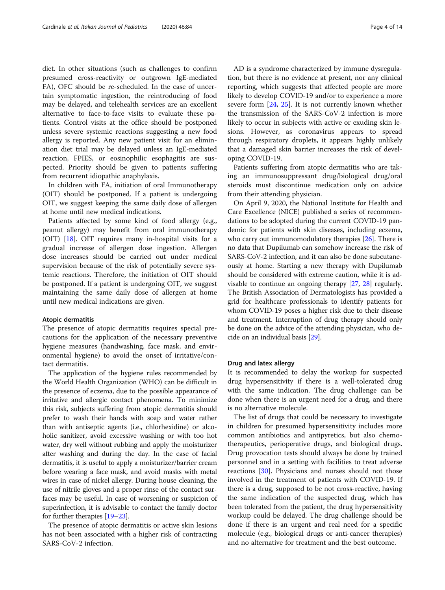diet. In other situations (such as challenges to confirm presumed cross-reactivity or outgrown IgE-mediated FA), OFC should be re-scheduled. In the case of uncertain symptomatic ingestion, the reintroducing of food may be delayed, and telehealth services are an excellent alternative to face-to-face visits to evaluate these patients. Control visits at the office should be postponed unless severe systemic reactions suggesting a new food allergy is reported. Any new patient visit for an elimination diet trial may be delayed unless an IgE-mediated reaction, FPIES, or eosinophilic esophagitis are suspected. Priority should be given to patients suffering from recurrent idiopathic anaphylaxis.

In children with FA, initiation of oral Immunotherapy (OIT) should be postponed. If a patient is undergoing OIT, we suggest keeping the same daily dose of allergen at home until new medical indications.

Patients affected by some kind of food allergy (e.g., peanut allergy) may benefit from oral immunotherapy (OIT) [[18](#page-11-0)]. OIT requires many in-hospital visits for a gradual increase of allergen dose ingestion. Allergen dose increases should be carried out under medical supervision because of the risk of potentially severe systemic reactions. Therefore, the initiation of OIT should be postponed. If a patient is undergoing OIT, we suggest maintaining the same daily dose of allergen at home until new medical indications are given.

#### Atopic dermatitis

The presence of atopic dermatitis requires special precautions for the application of the necessary preventive hygiene measures (handwashing, face mask, and environmental hygiene) to avoid the onset of irritative/contact dermatitis.

The application of the hygiene rules recommended by the World Health Organization (WHO) can be difficult in the presence of eczema, due to the possible appearance of irritative and allergic contact phenomena. To minimize this risk, subjects suffering from atopic dermatitis should prefer to wash their hands with soap and water rather than with antiseptic agents (i.e., chlorhexidine) or alcoholic sanitizer, avoid excessive washing or with too hot water, dry well without rubbing and apply the moisturizer after washing and during the day. In the case of facial dermatitis, it is useful to apply a moisturizer/barrier cream before wearing a face mask, and avoid masks with metal wires in case of nickel allergy. During house cleaning, the use of nitrile gloves and a proper rinse of the contact surfaces may be useful. In case of worsening or suspicion of superinfection, it is advisable to contact the family doctor for further therapies [\[19](#page-11-0)–[23](#page-11-0)].

The presence of atopic dermatitis or active skin lesions has not been associated with a higher risk of contracting SARS-CoV-2 infection.

AD is a syndrome characterized by immune dysregulation, but there is no evidence at present, nor any clinical reporting, which suggests that affected people are more likely to develop COVID-19 and/or to experience a more severe form [[24](#page-11-0), [25](#page-12-0)]. It is not currently known whether the transmission of the SARS-CoV-2 infection is more likely to occur in subjects with active or exuding skin lesions. However, as coronavirus appears to spread through respiratory droplets, it appears highly unlikely that a damaged skin barrier increases the risk of developing COVID-19.

Patients suffering from atopic dermatitis who are taking an immunosuppressant drug/biological drug/oral steroids must discontinue medication only on advice from their attending physician.

On April 9, 2020, the National Institute for Health and Care Excellence (NICE) published a series of recommendations to be adopted during the current COVID-19 pandemic for patients with skin diseases, including eczema, who carry out immunomodulatory therapies [\[26\]](#page-12-0). There is no data that Dupilumab can somehow increase the risk of SARS-CoV-2 infection, and it can also be done subcutaneously at home. Starting a new therapy with Dupilumab should be considered with extreme caution, while it is advisable to continue an ongoing therapy [\[27,](#page-12-0) [28](#page-12-0)] regularly. The British Association of Dermatologists has provided a grid for healthcare professionals to identify patients for whom COVID-19 poses a higher risk due to their disease and treatment. Interruption of drug therapy should only be done on the advice of the attending physician, who decide on an individual basis [[29](#page-12-0)].

### Drug and latex allergy

It is recommended to delay the workup for suspected drug hypersensitivity if there is a well-tolerated drug with the same indication. The drug challenge can be done when there is an urgent need for a drug, and there is no alternative molecule.

The list of drugs that could be necessary to investigate in children for presumed hypersensitivity includes more common antibiotics and antipyretics, but also chemotherapeutics, perioperative drugs, and biological drugs. Drug provocation tests should always be done by trained personnel and in a setting with facilities to treat adverse reactions [\[30](#page-12-0)]. Physicians and nurses should not those involved in the treatment of patients with COVID-19. If there is a drug, supposed to be not cross-reactive, having the same indication of the suspected drug, which has been tolerated from the patient, the drug hypersensitivity workup could be delayed. The drug challenge should be done if there is an urgent and real need for a specific molecule (e.g., biological drugs or anti-cancer therapies) and no alternative for treatment and the best outcome.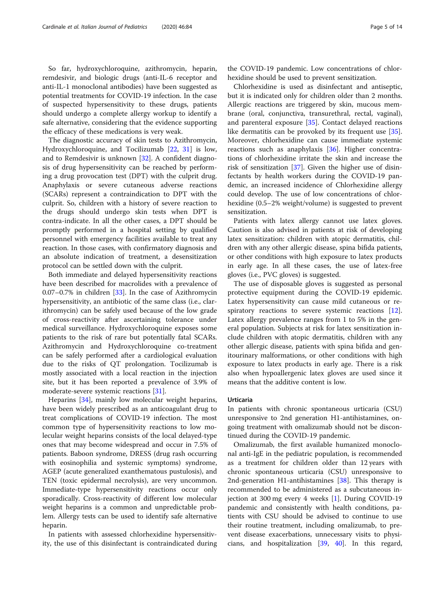So far, hydroxychloroquine, azithromycin, heparin, remdesivir, and biologic drugs (anti-IL-6 receptor and anti-IL-1 monoclonal antibodies) have been suggested as potential treatments for COVID-19 infection. In the case of suspected hypersensitivity to these drugs, patients should undergo a complete allergy workup to identify a safe alternative, considering that the evidence supporting the efficacy of these medications is very weak.

The diagnostic accuracy of skin tests to Azithromycin, Hydroxychloroquine, and Tocilizumab [\[22](#page-11-0), [31](#page-12-0)] is low, and to Remdesivir is unknown [\[32](#page-12-0)]. A confident diagnosis of drug hypersensitivity can be reached by performing a drug provocation test (DPT) with the culprit drug. Anaphylaxis or severe cutaneous adverse reactions (SCARs) represent a contraindication to DPT with the culprit. So, children with a history of severe reaction to the drugs should undergo skin tests when DPT is contra-indicate. In all the other cases, a DPT should be promptly performed in a hospital setting by qualified personnel with emergency facilities available to treat any reaction. In those cases, with confirmatory diagnosis and an absolute indication of treatment, a desensitization protocol can be settled down with the culprit.

Both immediate and delayed hypersensitivity reactions have been described for macrolides with a prevalence of 0.07–0.7% in children [\[33](#page-12-0)]. In the case of Azithromycin hypersensitivity, an antibiotic of the same class (i.e., clarithromycin) can be safely used because of the low grade of cross-reactivity after ascertaining tolerance under medical surveillance. Hydroxychloroquine exposes some patients to the risk of rare but potentially fatal SCARs. Azithromycin and Hydroxychloroquine co-treatment can be safely performed after a cardiological evaluation due to the risks of QT prolongation. Tocilizumab is mostly associated with a local reaction in the injection site, but it has been reported a prevalence of 3.9% of moderate-severe systemic reactions [[31](#page-12-0)].

Heparins [[34\]](#page-12-0), mainly low molecular weight heparins, have been widely prescribed as an anticoagulant drug to treat complications of COVID-19 infection. The most common type of hypersensitivity reactions to low molecular weight heparins consists of the local delayed-type ones that may become widespread and occur in 7.5% of patients. Baboon syndrome, DRESS (drug rash occurring with eosinophilia and systemic symptoms) syndrome, AGEP (acute generalized exanthematous pustulosis), and TEN (toxic epidermal necrolysis), are very uncommon. Immediate-type hypersensitivity reactions occur only sporadically. Cross-reactivity of different low molecular weight heparins is a common and unpredictable problem. Allergy tests can be used to identify safe alternative heparin.

In patients with assessed chlorhexidine hypersensitivity, the use of this disinfectant is contraindicated during

the COVID-19 pandemic. Low concentrations of chlorhexidine should be used to prevent sensitization.

Chlorhexidine is used as disinfectant and antiseptic, but it is indicated only for children older than 2 months. Allergic reactions are triggered by skin, mucous membrane (oral, conjunctiva, transurethral, rectal, vaginal), and parenteral exposure [\[35](#page-12-0)]. Contact delayed reactions like dermatitis can be provoked by its frequent use [\[35](#page-12-0)]. Moreover, chlorhexidine can cause immediate systemic reactions such as anaphylaxis [[36](#page-12-0)]. Higher concentrations of chlorhexidine irritate the skin and increase the risk of sensitization [[37\]](#page-12-0). Given the higher use of disinfectants by health workers during the COVID-19 pandemic, an increased incidence of Chlorhexidine allergy could develop. The use of low concentrations of chlorhexidine (0.5–2% weight/volume) is suggested to prevent sensitization.

Patients with latex allergy cannot use latex gloves. Caution is also advised in patients at risk of developing latex sensitization: children with atopic dermatitis, children with any other allergic disease, spina bifida patients, or other conditions with high exposure to latex products in early age. In all these cases, the use of latex-free gloves (i.e., PVC gloves) is suggested.

The use of disposable gloves is suggested as personal protective equipment during the COVID-19 epidemic. Latex hypersensitivity can cause mild cutaneous or re-spiratory reactions to severe systemic reactions [\[12](#page-11-0)]. Latex allergy prevalence ranges from 1 to 5% in the general population. Subjects at risk for latex sensitization include children with atopic dermatitis, children with any other allergic disease, patients with spina bifida and genitourinary malformations, or other conditions with high exposure to latex products in early age. There is a risk also when hypoallergenic latex gloves are used since it means that the additive content is low.

## Urticaria

In patients with chronic spontaneous urticaria (CSU) unresponsive to 2nd generation H1-antihistamines, ongoing treatment with omalizumab should not be discontinued during the COVID-19 pandemic.

Omalizumab, the first available humanized monoclonal anti-IgE in the pediatric population, is recommended as a treatment for children older than 12 years with chronic spontaneous urticaria (CSU) unresponsive to 2nd-generation H1-antihistamines [[38](#page-12-0)]. This therapy is recommended to be administered as a subcutaneous injection at 300 mg every 4 weeks [[1\]](#page-11-0). During COVID-19 pandemic and consistently with health conditions, patients with CSU should be advised to continue to use their routine treatment, including omalizumab, to prevent disease exacerbations, unnecessary visits to physicians, and hospitalization [[39](#page-12-0), [40](#page-12-0)]. In this regard,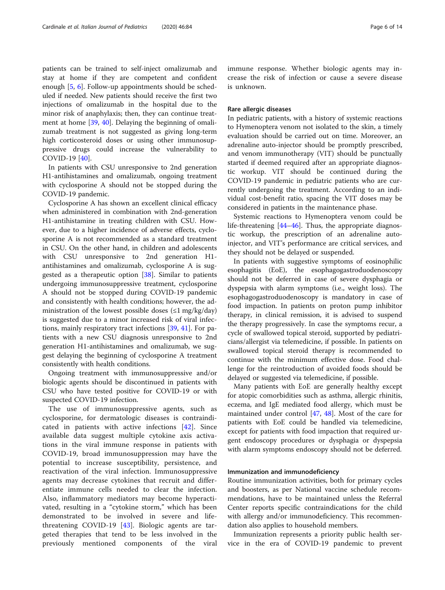patients can be trained to self-inject omalizumab and stay at home if they are competent and confident enough [\[5](#page-11-0), [6](#page-11-0)]. Follow-up appointments should be scheduled if needed. New patients should receive the first two injections of omalizumab in the hospital due to the minor risk of anaphylaxis; then, they can continue treatment at home [\[39](#page-12-0), [40](#page-12-0)]. Delaying the beginning of omalizumab treatment is not suggested as giving long-term high corticosteroid doses or using other immunosuppressive drugs could increase the vulnerability to COVID-19 [[40\]](#page-12-0).

In patients with CSU unresponsive to 2nd generation H1-antihistamines and omalizumab, ongoing treatment with cyclosporine A should not be stopped during the COVID-19 pandemic.

Cyclosporine A has shown an excellent clinical efficacy when administered in combination with 2nd-generation H1-antihistamine in treating children with CSU. However, due to a higher incidence of adverse effects, cyclosporine A is not recommended as a standard treatment in CSU. On the other hand, in children and adolescents with CSU unresponsive to 2nd generation H1 antihistamines and omalizumab, cyclosporine A is suggested as a therapeutic option  $[38]$  $[38]$ . Similar to patients undergoing immunosuppressive treatment, cyclosporine A should not be stopped during COVID-19 pandemic and consistently with health conditions; however, the administration of the lowest possible doses  $(\leq 1 \text{ mg/kg/day})$ is suggested due to a minor increased risk of viral infections, mainly respiratory tract infections [\[39](#page-12-0), [41](#page-12-0)]. For patients with a new CSU diagnosis unresponsive to 2nd generation H1-antihistamines and omalizumab, we suggest delaying the beginning of cyclosporine A treatment consistently with health conditions.

Ongoing treatment with immunosuppressive and/or biologic agents should be discontinued in patients with CSU who have tested positive for COVID-19 or with suspected COVID-19 infection.

The use of immunosuppressive agents, such as cyclosporine, for dermatologic diseases is contraindicated in patients with active infections [\[42](#page-12-0)]. Since available data suggest multiple cytokine axis activations in the viral immune response in patients with COVID-19, broad immunosuppression may have the potential to increase susceptibility, persistence, and reactivation of the viral infection. Immunosuppressive agents may decrease cytokines that recruit and differentiate immune cells needed to clear the infection. Also, inflammatory mediators may become hyperactivated, resulting in a "cytokine storm," which has been demonstrated to be involved in severe and lifethreatening COVID-19 [[43\]](#page-12-0). Biologic agents are targeted therapies that tend to be less involved in the previously mentioned components of the viral immune response. Whether biologic agents may increase the risk of infection or cause a severe disease is unknown.

### Rare allergic diseases

In pediatric patients, with a history of systemic reactions to Hymenoptera venom not isolated to the skin, a timely evaluation should be carried out on time. Moreover, an adrenaline auto-injector should be promptly prescribed, and venom immunotherapy (VIT) should be punctually started if deemed required after an appropriate diagnostic workup. VIT should be continued during the COVID-19 pandemic in pediatric patients who are currently undergoing the treatment. According to an individual cost-benefit ratio, spacing the VIT doses may be considered in patients in the maintenance phase.

Systemic reactions to Hymenoptera venom could be life-threatening [\[44](#page-12-0)–[46\]](#page-12-0). Thus, the appropriate diagnostic workup, the prescription of an adrenaline autoinjector, and VIT's performance are critical services, and they should not be delayed or suspended.

In patients with suggestive symptoms of eosinophilic esophagitis (EoE), the esophagogastroduodenoscopy should not be deferred in case of severe dysphagia or dyspepsia with alarm symptoms (i.e., weight loss). The esophagogastroduodenoscopy is mandatory in case of food impaction. In patients on proton pump inhibitor therapy, in clinical remission, it is advised to suspend the therapy progressively. In case the symptoms recur, a cycle of swallowed topical steroid, supported by pediatricians/allergist via telemedicine, if possible. In patients on swallowed topical steroid therapy is recommended to continue with the minimum effective dose. Food challenge for the reintroduction of avoided foods should be delayed or suggested via telemedicine, if possible.

Many patients with EoE are generally healthy except for atopic comorbidities such as asthma, allergic rhinitis, eczema, and IgE mediated food allergy, which must be maintained under control [\[47](#page-12-0), [48\]](#page-12-0). Most of the care for patients with EoE could be handled via telemedicine, except for patients with food impaction that required urgent endoscopy procedures or dysphagia or dyspepsia with alarm symptoms endoscopy should not be deferred.

## Immunization and immunodeficiency

Routine immunization activities, both for primary cycles and boosters, as per National vaccine schedule recommendations, have to be maintained unless the Referral Center reports specific contraindications for the child with allergy and/or immunodeficiency. This recommendation also applies to household members.

Immunization represents a priority public health service in the era of COVID-19 pandemic to prevent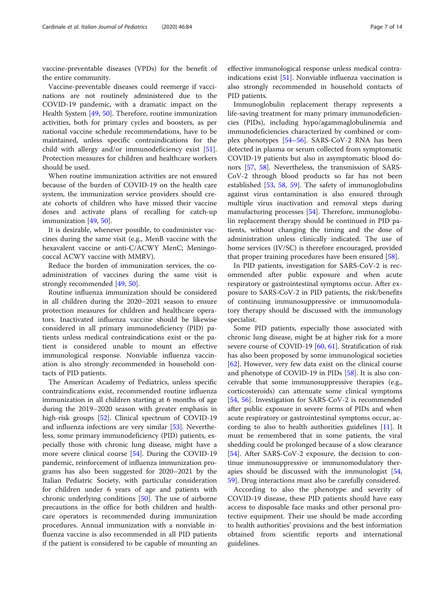vaccine-preventable diseases (VPDs) for the benefit of the entire community.

Vaccine-preventable diseases could reemerge if vaccinations are not routinely administered due to the COVID-19 pandemic, with a dramatic impact on the Health System [\[49,](#page-12-0) [50\]](#page-12-0). Therefore, routine immunization activities, both for primary cycles and boosters, as per national vaccine schedule recommendations, have to be maintained, unless specific contraindications for the child with allergy and/or immunodeficiency exist [\[51](#page-12-0)]. Protection measures for children and healthcare workers should be used.

When routine immunization activities are not ensured because of the burden of COVID-19 on the health care system, the immunization service providers should create cohorts of children who have missed their vaccine doses and activate plans of recalling for catch-up immunization [[49,](#page-12-0) [50\]](#page-12-0).

It is desirable, whenever possible, to coadminister vaccines during the same visit (e.g., MenB vaccine with the hexavalent vaccine or anti-C/ACWY MenC; Meningococcal ACWY vaccine with MMRV).

Reduce the burden of immunization services, the coadministration of vaccines during the same visit is strongly recommended [\[49,](#page-12-0) [50\]](#page-12-0).

Routine influenza immunization should be considered in all children during the 2020–2021 season to ensure protection measures for children and healthcare operators. Inactivated influenza vaccine should be likewise considered in all primary immunodeficiency (PID) patients unless medical contraindications exist or the patient is considered unable to mount an effective immunological response. Nonviable influenza vaccination is also strongly recommended in household contacts of PID patients.

The American Academy of Pediatrics, unless specific contraindications exist, recommended routine influenza immunization in all children starting at 6 months of age during the 2019–2020 season with greater emphasis in high-risk groups [[52\]](#page-12-0). Clinical spectrum of COVID-19 and influenza infections are very similar [[53\]](#page-12-0). Nevertheless, some primary immunodeficiency (PID) patients, especially those with chronic lung disease, might have a more severe clinical course [\[54](#page-12-0)]. During the COVID-19 pandemic, reinforcement of influenza immunization programs has also been suggested for 2020–2021 by the Italian Pediatric Society, with particular consideration for children under 6 years of age and patients with chronic underlying conditions [\[50](#page-12-0)]. The use of airborne precautions in the office for both children and healthcare operators is recommended during immunization procedures. Annual immunization with a nonviable influenza vaccine is also recommended in all PID patients if the patient is considered to be capable of mounting an

effective immunological response unless medical contraindications exist [\[51\]](#page-12-0). Nonviable influenza vaccination is also strongly recommended in household contacts of PID patients.

Immunoglobulin replacement therapy represents a life-saving treatment for many primary immunodeficiencies (PIDs), including hypo/agammaglobulinemia and immunodeficiencies characterized by combined or complex phenotypes [\[54](#page-12-0)–[56\]](#page-12-0). SARS-CoV-2 RNA has been detected in plasma or serum collected from symptomatic COVID-19 patients but also in asymptomatic blood donors [[57](#page-12-0), [58\]](#page-12-0). Nevertheless, the transmission of SARS-CoV-2 through blood products so far has not been established [[53](#page-12-0), [58](#page-12-0), [59](#page-12-0)]. The safety of immunoglobulins against virus contamination is also ensured through multiple virus inactivation and removal steps during manufacturing processes [[54\]](#page-12-0). Therefore, immunoglobulin replacement therapy should be continued in PID patients, without changing the timing and the dose of administration unless clinically indicated. The use of home services (IV/SC) is therefore encouraged, provided that proper training procedures have been ensured [\[58\]](#page-12-0).

In PID patients, investigation for SARS-CoV-2 is recommended after public exposure and when acute respiratory or gastrointestinal symptoms occur. After exposure to SARS-CoV-2 in PID patients, the risk/benefits of continuing immunosuppressive or immunomodulatory therapy should be discussed with the immunology specialist.

Some PID patients, especially those associated with chronic lung disease, might be at higher risk for a more severe course of COVID-19 [\[60](#page-12-0), [61](#page-12-0)]. Stratification of risk has also been proposed by some immunological societies [[62\]](#page-12-0). However, very few data exist on the clinical course and phenotype of COVID-19 in PIDs [\[58](#page-12-0)]. It is also conceivable that some immunosuppressive therapies (e.g., corticosteroids) can attenuate some clinical symptoms [[54,](#page-12-0) [56](#page-12-0)]. Investigation for SARS-CoV-2 is recommended after public exposure in severe forms of PIDs and when acute respiratory or gastrointestinal symptoms occur, according to also to health authorities guidelines [[11](#page-11-0)]. It must be remembered that in some patients, the viral shedding could be prolonged because of a slow clearance [[54\]](#page-12-0). After SARS-CoV-2 exposure, the decision to continue immunosuppressive or immunomodulatory therapies should be discussed with the immunologist [[54](#page-12-0), [59\]](#page-12-0). Drug interactions must also be carefully considered.

According to also the phenotype and severity of COVID-19 disease, these PID patients should have easy access to disposable face masks and other personal protective equipment. Their use should be made according to health authorities' provisions and the best information obtained from scientific reports and international guidelines.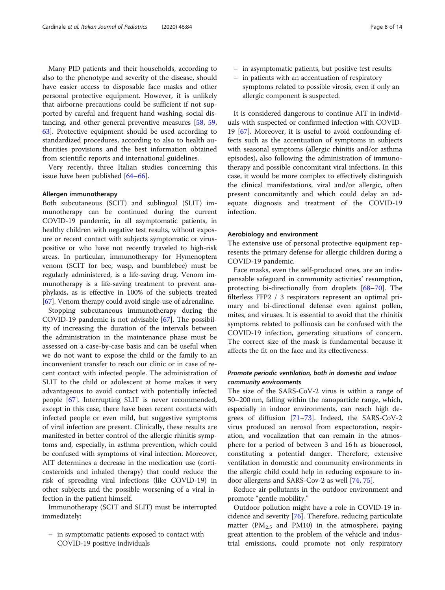Many PID patients and their households, according to also to the phenotype and severity of the disease, should have easier access to disposable face masks and other personal protective equipment. However, it is unlikely that airborne precautions could be sufficient if not supported by careful and frequent hand washing, social distancing, and other general preventive measures [[58](#page-12-0), [59](#page-12-0), [63\]](#page-12-0). Protective equipment should be used according to standardized procedures, according to also to health authorities provisions and the best information obtained from scientific reports and international guidelines.

Very recently, three Italian studies concerning this issue have been published [[64](#page-12-0)–[66](#page-12-0)].

### Allergen immunotherapy

Both subcutaneous (SCIT) and sublingual (SLIT) immunotherapy can be continued during the current COVID-19 pandemic, in all asymptomatic patients, in healthy children with negative test results, without exposure or recent contact with subjects symptomatic or viruspositive or who have not recently traveled to high-risk areas. In particular, immunotherapy for Hymenoptera venom (SCIT for bee, wasp, and bumblebee) must be regularly administered, is a life-saving drug. Venom immunotherapy is a life-saving treatment to prevent anaphylaxis, as is effective in 100% of the subjects treated [[67](#page-12-0)]. Venom therapy could avoid single-use of adrenaline.

Stopping subcutaneous immunotherapy during the COVID-19 pandemic is not advisable [\[67](#page-12-0)]. The possibility of increasing the duration of the intervals between the administration in the maintenance phase must be assessed on a case-by-case basis and can be useful when we do not want to expose the child or the family to an inconvenient transfer to reach our clinic or in case of recent contact with infected people. The administration of SLIT to the child or adolescent at home makes it very advantageous to avoid contact with potentially infected people [[67](#page-12-0)]. Interrupting SLIT is never recommended, except in this case, there have been recent contacts with infected people or even mild, but suggestive symptoms of viral infection are present. Clinically, these results are manifested in better control of the allergic rhinitis symptoms and, especially, in asthma prevention, which could be confused with symptoms of viral infection. Moreover, AIT determines a decrease in the medication use (corticosteroids and inhaled therapy) that could reduce the risk of spreading viral infections (like COVID-19) in other subjects and the possible worsening of a viral infection in the patient himself.

Immunotherapy (SCIT and SLIT) must be interrupted immediately:

– in symptomatic patients exposed to contact with COVID-19 positive individuals

- in asymptomatic patients, but positive test results
- in patients with an accentuation of respiratory symptoms related to possible virosis, even if only an allergic component is suspected.

It is considered dangerous to continue AIT in individuals with suspected or confirmed infection with COVID-19 [[67](#page-12-0)]. Moreover, it is useful to avoid confounding effects such as the accentuation of symptoms in subjects with seasonal symptoms (allergic rhinitis and/or asthma episodes), also following the administration of immunotherapy and possible concomitant viral infections. In this case, it would be more complex to effectively distinguish the clinical manifestations, viral and/or allergic, often present concomitantly and which could delay an adequate diagnosis and treatment of the COVID-19 infection.

#### Aerobiology and environment

The extensive use of personal protective equipment represents the primary defense for allergic children during a COVID-19 pandemic.

Face masks, even the self-produced ones, are an indispensable safeguard in community activities' resumption, protecting bi-directionally from droplets [\[68](#page-12-0)–[70\]](#page-12-0). The filterless FFP2 / 3 respirators represent an optimal primary and bi-directional defense even against pollen, mites, and viruses. It is essential to avoid that the rhinitis symptoms related to pollinosis can be confused with the COVID-19 infection, generating situations of concern. The correct size of the mask is fundamental because it affects the fit on the face and its effectiveness.

## Promote periodic ventilation, both in domestic and indoor community environments

The size of the SARS-CoV-2 virus is within a range of 50–200 nm, falling within the nanoparticle range, which, especially in indoor environments, can reach high degrees of diffusion [[71](#page-12-0)–[73](#page-12-0)]. Indeed, the SARS-CoV-2 virus produced an aerosol from expectoration, respiration, and vocalization that can remain in the atmosphere for a period of between 3 and 16 h as bioaerosol, constituting a potential danger. Therefore, extensive ventilation in domestic and community environments in the allergic child could help in reducing exposure to indoor allergens and SARS-Cov-2 as well [\[74](#page-12-0), [75](#page-13-0)].

Reduce air pollutants in the outdoor environment and promote "gentle mobility."

Outdoor pollution might have a role in COVID-19 incidence and severity [\[76](#page-13-0)]. Therefore, reducing particulate matter ( $PM_{2,5}$  and  $PM_{10}$ ) in the atmosphere, paying great attention to the problem of the vehicle and industrial emissions, could promote not only respiratory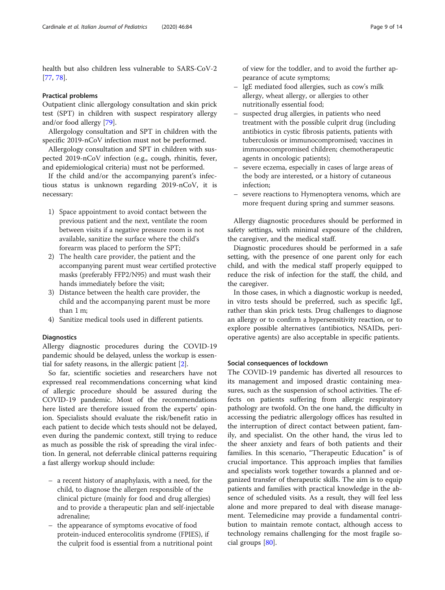health but also children less vulnerable to SARS-CoV-2 [[77,](#page-13-0) [78\]](#page-13-0).

### Practical problems

Outpatient clinic allergology consultation and skin prick test (SPT) in children with suspect respiratory allergy and/or food allergy [\[79\]](#page-13-0).

Allergology consultation and SPT in children with the specific 2019-nCoV infection must not be performed.

Allergology consultation and SPT in children with suspected 2019-nCoV infection (e.g., cough, rhinitis, fever, and epidemiological criteria) must not be performed.

If the child and/or the accompanying parent's infectious status is unknown regarding 2019-nCoV, it is necessary:

- 1) Space appointment to avoid contact between the previous patient and the next, ventilate the room between visits if a negative pressure room is not available, sanitize the surface where the child's forearm was placed to perform the SPT;
- 2) The health care provider, the patient and the accompanying parent must wear certified protective masks (preferably FFP2/N95) and must wash their hands immediately before the visit;
- 3) Distance between the health care provider, the child and the accompanying parent must be more than 1 m;
- 4) Sanitize medical tools used in different patients.

### **Diagnostics**

Allergy diagnostic procedures during the COVID-19 pandemic should be delayed, unless the workup is essential for safety reasons, in the allergic patient [[2\]](#page-11-0).

So far, scientific societies and researchers have not expressed real recommendations concerning what kind of allergic procedure should be assured during the COVID-19 pandemic. Most of the recommendations here listed are therefore issued from the experts' opinion. Specialists should evaluate the risk/benefit ratio in each patient to decide which tests should not be delayed, even during the pandemic context, still trying to reduce as much as possible the risk of spreading the viral infection. In general, not deferrable clinical patterns requiring a fast allergy workup should include:

- a recent history of anaphylaxis, with a need, for the child, to diagnose the allergen responsible of the clinical picture (mainly for food and drug allergies) and to provide a therapeutic plan and self-injectable adrenaline;
- the appearance of symptoms evocative of food protein-induced enterocolitis syndrome (FPIES), if the culprit food is essential from a nutritional point

of view for the toddler, and to avoid the further appearance of acute symptoms;

- IgE mediated food allergies, such as cow's milk allergy, wheat allergy, or allergies to other nutritionally essential food;
- suspected drug allergies, in patients who need treatment with the possible culprit drug (including antibiotics in cystic fibrosis patients, patients with tuberculosis or immunocompromised; vaccines in immunocompromised children; chemotherapeutic agents in oncologic patients);
- severe eczema, especially in cases of large areas of the body are interested, or a history of cutaneous infection;
- severe reactions to Hymenoptera venoms, which are more frequent during spring and summer seasons.

Allergy diagnostic procedures should be performed in safety settings, with minimal exposure of the children, the caregiver, and the medical staff.

Diagnostic procedures should be performed in a safe setting, with the presence of one parent only for each child, and with the medical staff properly equipped to reduce the risk of infection for the staff, the child, and the caregiver.

In those cases, in which a diagnostic workup is needed, in vitro tests should be preferred, such as specific IgE, rather than skin prick tests. Drug challenges to diagnose an allergy or to confirm a hypersensitivity reaction, or to explore possible alternatives (antibiotics, NSAIDs, perioperative agents) are also acceptable in specific patients.

### Social consequences of lockdown

The COVID-19 pandemic has diverted all resources to its management and imposed drastic containing measures, such as the suspension of school activities. The effects on patients suffering from allergic respiratory pathology are twofold. On the one hand, the difficulty in accessing the pediatric allergology offices has resulted in the interruption of direct contact between patient, family, and specialist. On the other hand, the virus led to the sheer anxiety and fears of both patients and their families. In this scenario, "Therapeutic Education" is of crucial importance. This approach implies that families and specialists work together towards a planned and organized transfer of therapeutic skills. The aim is to equip patients and families with practical knowledge in the absence of scheduled visits. As a result, they will feel less alone and more prepared to deal with disease management. Telemedicine may provide a fundamental contribution to maintain remote contact, although access to technology remains challenging for the most fragile social groups [[80](#page-13-0)].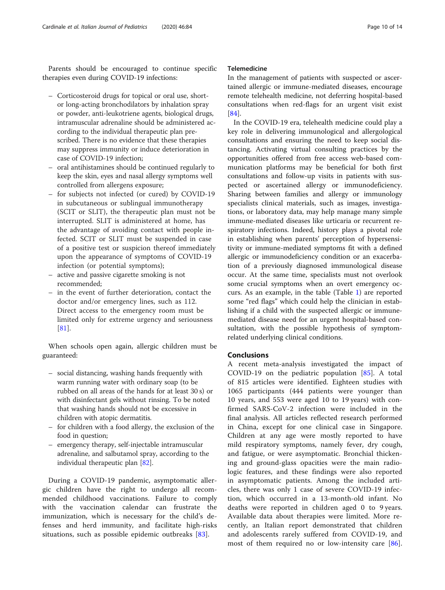Parents should be encouraged to continue specific therapies even during COVID-19 infections:

- Corticosteroid drugs for topical or oral use, shortor long-acting bronchodilators by inhalation spray or powder, anti-leukotriene agents, biological drugs, intramuscular adrenaline should be administered according to the individual therapeutic plan prescribed. There is no evidence that these therapies may suppress immunity or induce deterioration in case of COVID-19 infection;
- oral antihistamines should be continued regularly to keep the skin, eyes and nasal allergy symptoms well controlled from allergens exposure;
- for subjects not infected (or cured) by COVID-19 in subcutaneous or sublingual immunotherapy (SCIT or SLIT), the therapeutic plan must not be interrupted. SLIT is administered at home, has the advantage of avoiding contact with people infected. SCIT or SLIT must be suspended in case of a positive test or suspicion thereof immediately upon the appearance of symptoms of COVID-19 infection (or potential symptoms);
- active and passive cigarette smoking is not recommended;
- in the event of further deterioration, contact the doctor and/or emergency lines, such as 112. Direct access to the emergency room must be limited only for extreme urgency and seriousness [[81\]](#page-13-0).

When schools open again, allergic children must be guaranteed:

- social distancing, washing hands frequently with warm running water with ordinary soap (to be rubbed on all areas of the hands for at least 30 s) or with disinfectant gels without rinsing. To be noted that washing hands should not be excessive in children with atopic dermatitis.
- for children with a food allergy, the exclusion of the food in question;
- emergency therapy, self-injectable intramuscular adrenaline, and salbutamol spray, according to the individual therapeutic plan [[82](#page-13-0)].

During a COVID-19 pandemic, asymptomatic allergic children have the right to undergo all recommended childhood vaccinations. Failure to comply with the vaccination calendar can frustrate the immunization, which is necessary for the child's defenses and herd immunity, and facilitate high-risks situations, such as possible epidemic outbreaks [[83\]](#page-13-0).

## Telemedicine

In the management of patients with suspected or ascertained allergic or immune-mediated diseases, encourage remote telehealth medicine, not deferring hospital-based consultations when red-flags for an urgent visit exist [[84\]](#page-13-0).

In the COVID-19 era, telehealth medicine could play a key role in delivering immunological and allergological consultations and ensuring the need to keep social distancing. Activating virtual consulting practices by the opportunities offered from free access web-based communication platforms may be beneficial for both first consultations and follow-up visits in patients with suspected or ascertained allergy or immunodeficiency. Sharing between families and allergy or immunology specialists clinical materials, such as images, investigations, or laboratory data, may help manage many simple immune-mediated diseases like urticaria or recurrent respiratory infections. Indeed, history plays a pivotal role in establishing when parents' perception of hypersensitivity or immune-mediated symptoms fit with a defined allergic or immunodeficiency condition or an exacerbation of a previously diagnosed immunological disease occur. At the same time, specialists must not overlook some crucial symptoms when an overt emergency occurs. As an example, in the table (Table [1\)](#page-10-0) are reported some "red flags" which could help the clinician in establishing if a child with the suspected allergic or immunemediated disease need for an urgent hospital-based consultation, with the possible hypothesis of symptomrelated underlying clinical conditions.

## Conclusions

A recent meta-analysis investigated the impact of COVID-19 on the pediatric population [\[85](#page-13-0)]. A total of 815 articles were identified. Eighteen studies with 1065 participants (444 patients were younger than 10 years, and 553 were aged 10 to 19 years) with confirmed SARS-CoV-2 infection were included in the final analysis. All articles reflected research performed in China, except for one clinical case in Singapore. Children at any age were mostly reported to have mild respiratory symptoms, namely fever, dry cough, and fatigue, or were asymptomatic. Bronchial thickening and ground-glass opacities were the main radiologic features, and these findings were also reported in asymptomatic patients. Among the included articles, there was only 1 case of severe COVID-19 infection, which occurred in a 13-month-old infant. No deaths were reported in children aged 0 to 9 years. Available data about therapies were limited. More recently, an Italian report demonstrated that children and adolescents rarely suffered from COVID-19, and most of them required no or low-intensity care [\[86](#page-13-0)].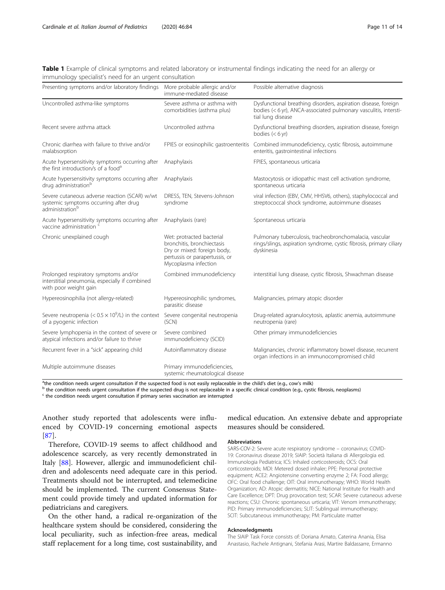<span id="page-10-0"></span>

|  | Table 1 Example of clinical symptoms and related laboratory or instrumental findings indicating the need for an allergy or |  |  |  |  |  |  |
|--|----------------------------------------------------------------------------------------------------------------------------|--|--|--|--|--|--|
|  | immunology specialist's need for an urgent consultation                                                                    |  |  |  |  |  |  |

| Presenting symptoms and/or laboratory findings                                                                         | More probable allergic and/or<br>immune-mediated disease                                                                                         | Possible alternative diagnosis                                                                                                                          |  |  |  |  |  |
|------------------------------------------------------------------------------------------------------------------------|--------------------------------------------------------------------------------------------------------------------------------------------------|---------------------------------------------------------------------------------------------------------------------------------------------------------|--|--|--|--|--|
| Uncontrolled asthma-like symptoms                                                                                      | Severe asthma or asthma with<br>comorbidities (asthma plus)                                                                                      | Dysfunctional breathing disorders, aspiration disease, foreign<br>bodies (< 6 yr), ANCA-associated pulmonary vasculitis, intersti-<br>tial lung disease |  |  |  |  |  |
| Recent severe asthma attack                                                                                            | Uncontrolled asthma                                                                                                                              | Dysfunctional breathing disorders, aspiration disease, foreign<br>bodies $(< 6 yr)$                                                                     |  |  |  |  |  |
| Chronic diarrhea with failure to thrive and/or<br>malabsorption                                                        | FPIES or eosinophilic gastroenteritis                                                                                                            | Combined immunodeficiency, cystic fibrosis, autoimmune<br>enteritis, gastrointestinal infections                                                        |  |  |  |  |  |
| Acute hypersensitivity symptoms occurring after<br>the first introduction/s of a food <sup>a</sup>                     | Anaphylaxis                                                                                                                                      | FPIES, spontaneous urticaria                                                                                                                            |  |  |  |  |  |
| Acute hypersensitivity symptoms occurring after<br>drug administration <sup>b</sup>                                    | Anaphylaxis                                                                                                                                      | Mastocytosis or idiopathic mast cell activation syndrome,<br>spontaneous urticaria                                                                      |  |  |  |  |  |
| Severe cutaneous adverse reaction (SCAR) w/wt<br>systemic symptoms occurring after drug<br>administration <sup>b</sup> | DRESS, TEN, Stevens-Johnson<br>syndrome                                                                                                          | viral infection (EBV, CMV, HHSV6, others), staphylococcal and<br>streptococcal shock syndrome, autoimmune diseases                                      |  |  |  |  |  |
| Acute hypersensitivity symptoms occurring after<br>vaccine administration c                                            | Anaphylaxis (rare)                                                                                                                               | Spontaneous urticaria                                                                                                                                   |  |  |  |  |  |
| Chronic unexplained cough                                                                                              | Wet: protracted bacterial<br>bronchitis, bronchiectasis<br>Dry or mixed: foreign body,<br>pertussis or parapertussis, or<br>Mycoplasma infection | Pulmonary tuberculosis, tracheobronchomalacia, vascular<br>rings/slings, aspiration syndrome, cystic fibrosis, primary ciliary<br>dyskinesia            |  |  |  |  |  |
| Prolonged respiratory symptoms and/or<br>interstitial pneumonia, especially if combined<br>with poor weight gain       | Combined immunodeficiency                                                                                                                        | interstitial lung disease, cystic fibrosis, Shwachman disease                                                                                           |  |  |  |  |  |
| Hypereosinophilia (not allergy-related)                                                                                | Hypereosinophilic syndromes,<br>parasitic disease                                                                                                | Malignancies, primary atopic disorder                                                                                                                   |  |  |  |  |  |
| Severe neutropenia (< $0.5 \times 10^9$ /L) in the context<br>of a pyogenic infection                                  | Severe congenital neutropenia<br>(SCN)                                                                                                           | Drug-related agranulocytosis, aplastic anemia, autoimmune<br>neutropenia (rare)                                                                         |  |  |  |  |  |
| Severe lymphopenia in the context of severe or<br>atypical infections and/or failure to thrive                         | Severe combined<br>immunodeficiency (SCID)                                                                                                       | Other primary immunodeficiencies                                                                                                                        |  |  |  |  |  |
| Recurrent fever in a "sick" appearing child                                                                            | Autoinflammatory disease                                                                                                                         | Malignancies, chronic inflammatory bowel disease, recurrent<br>organ infections in an immunocompromised child                                           |  |  |  |  |  |
| Multiple autoimmune diseases                                                                                           | Primary immunodeficiencies,<br>systemic rheumatological disease                                                                                  |                                                                                                                                                         |  |  |  |  |  |

<sup>a</sup>the condition needs urgent consultation if the suspected food is not easily replaceable in the child's diet (e.g., cow's milk)

 $^{\rm b}$  the condition needs urgent consultation if the suspected drug is not replaceable in a specific clinical condition (e.g., cystic fibrosis, neoplasms)  $^{\rm c}$  the condition needs urgent consultation if primary serie

Another study reported that adolescents were influenced by COVID-19 concerning emotional aspects [[87\]](#page-13-0).

Therefore, COVID-19 seems to affect childhood and adolescence scarcely, as very recently demonstrated in Italy [\[88\]](#page-13-0). However, allergic and immunodeficient children and adolescents need adequate care in this period. Treatments should not be interrupted, and telemedicine should be implemented. The current Consensus Statement could provide timely and updated information for pediatricians and caregivers.

On the other hand, a radical re-organization of the healthcare system should be considered, considering the local peculiarity, such as infection-free areas, medical staff replacement for a long time, cost sustainability, and

## medical education. An extensive debate and appropriate measures should be considered.

### Abbreviations

SARS-COV-2: Severe acute respiratory syndrome – coronavirus; COVID-19: Coronavirus disease 2019; SIAIP: Società Italiana di Allergologia ed. Immunologia Pediatrica; ICS: Inhaled corticosteroids; OCS: Oral corticosteroids; MDI: Metered dosed inhaler; PPE: Personal protective equipment; ACE2: Angiotensine converting enzyme 2; FA: Food allergy; OFC: Oral food challenge; OIT: Oral immunotherapy; WHO: World Health Organization; AD: Atopic dermatitis; NICE: National Institute for Health and Care Excellence; DPT: Drug provocation test; SCAR: Severe cutaneous adverse reactions; CSU: Chronic spontaneous urticaria; VIT: Venom immunotherapy; PID: Primary immunodeficiencies; SLIT: Sublingual immunotherapy; SCIT: Subcutaneous immunotherapy; PM: Particulate matter

#### Acknowledgments

The SIAIP Task Force consists of: Doriana Amato, Caterina Anania, Elisa Anastasio, Rachele Antignani, Stefania Arasi, Martire Baldassarre, Ermanno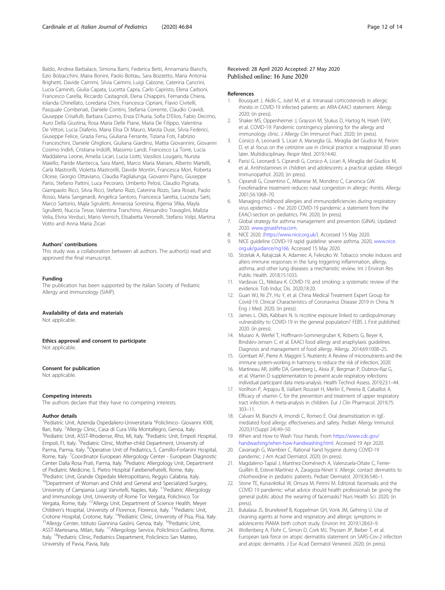<span id="page-11-0"></span>Baldo, Andrea Barbalace, Simona Barni, Federica Betti, Annamaria Bianchi, Ezio Bolzacchini, Maira Bonini, Paolo Bottau, Sara Bozzetto, Maria Antonia Brighetti, Davide Caimmi, Silvia Caimmi, Luigi Calzone, Caterina Cancrini, Lucia Caminiti, Giulia Capata, Lucetta Capra, Carlo Capristo, Elena Carboni, Francesco Carella, Riccardo Castagnoli, Elena Chiappini, Fernanda Chiera, Iolanda Chinellato, Loredana Chini, Francesca Cipriani, Flavio Civitelli, Pasquale Comberiati, Daniele Contini, Stefania Corrente, Claudio Cravidi, Giuseppe Crisafulli, Barbara Cuomo, Enza D'Auria, Sofia D'Elios, Fabio Decimo, Auro Della Giustina, Rosa Maria Delle Piane, Maria De Filippo, Valentina De Vittori, Lucia Diaferio, Maria Elisa Di Mauro, Marzia Duse, Silvia Federici, Giuseppe Felice, Grazia Fenu, Giuliana Ferrante, Tiziana Foti, Fabrizio Franceschini, Daniele Ghiglioni, Giuliana Giardino, Mattia Giovannini, Giovanni Cosimo Indirli, Cristiana Indolfi, Massimo Landi, Francesco La Torre, Lucia Maddalena Leone, Amelia Licari, Lucia Liotti, Vassilios Lougaris, Nunzia Maiello, Paride Mantecca, Sara Manti, Marco Maria Mariani, Alberto Martelli, Carla Mastrorilli, Violetta Mastrorilli, Davide Montin, Francesca Mori, Roberta Olcese, Giorgio Ottaviano, Claudia Paglialunga, Giovanni Pajno, Giuseppe Parisi, Stefano Pattini, Luca Pecoraro, Umberto Pelosi, Claudio Pignata, Giampaolo Ricci, Silvia Ricci, Stefano Rizzi, Caterina Rizzo, Sara Rosati, Paolo Rosso, Maria Sangerardi, Angelica Santoro, Francesca Saretta, Lucrezia Sarti, Marco Sartorio, Majla Sgruletti, Annarosa Soresina, Ifigenia Sfika, Mayla Sgrulletti, Nuccia Tesse, Valentina Tranchino, Alessandro Travaglini, Malizia Velia, Elvira Verduci, Mario Vernich, Elisabetta Veronelli, Stefano Volpi, Martina Votto and Anna Maria Zicari

### Authors' contributions

This study was a collaboration between all authors. The author(s) read and approved the final manuscript.

#### Funding

The publication has been supported by the Italian Society of Pediatric Allergy and Immunology (SIAIP).

#### Availability of data and materials

Not applicable.

Ethics approval and consent to participate Not applicable.

### Consent for publication

Not applicable.

#### Competing interests

The authors declare that they have no competing interests.

#### Author details

<sup>1</sup> Pediatric Unit, Azienda Ospedaliero-Universitaria "Policlinico- Giovanni XXIII, Bari, Italy. <sup>2</sup>Allergy Clinic, Casa di Cura Villa Montallegro, Genoa, Italy.<br><sup>3</sup>Podiatric Unit, ASST Phodonse Pho. ML Italy. <sup>4</sup>Podiatric Unit, Empol Pediatric Unit, ASST-Rhodense, Rho, MI, Italy. <sup>4</sup>Pediatric Unit, Empoli Hospital, Empoli, FI, Italy. <sup>5</sup>Pediatric Clinic, Mother-child Department, University of Parma, Parma, Italy. <sup>6</sup>Operative Unit of Pediatrics, S. Camillo-Forlanini Hospital, Rome, Italy. <sup>7</sup>Coordinator European Allergology Center - European Diagnostic Center Dalla Rosa Prati, Parma, Italy. <sup>8</sup>Pediatric Allergology Unit, Department of Pediatric Medicine, S. Pietro Hospital Fatebenefratelli, Rome, Italy. 9 Pediatric Unit, Grande Ospedale Metropolitano, Reggio Calabria, Italy. <sup>10</sup>Department of Woman and Child and General and Specialized Surgery, University of Campania Luigi Vanvitelli, Naples, Italy. 11Pediatric Allergology and Immunology Unit, University of Rome Tor Vergata, Policlinico Tor Vergata, Rome, Italy. 12Allergy Unit, Department of Science Health, Meyer Children's Hospital, University of Florence, Florence, Italy. <sup>13</sup>Pediatric Unit, Crotone Hospital, Crotone, Italy. <sup>14</sup>Pediatric Clinic, University of Pisa, Pisa, Italy.<br><sup>15</sup>Allergy Center, Istituto Giannina Gaslini, Genoa, Italy. <sup>16</sup>Pediatric Unit, <sup>15</sup>Allergy Center, Istituto Giannina Gaslini, Genoa, Italy. <sup>16</sup>Pediatric Unit,<br>ASST-Martesana, Milan, Italy. <sup>17</sup>Allergology Service, Policlinico Casilino, Rome, Italy. <sup>18</sup>Pediatric Clinic, Pediatrics Department, Policlinico San Matteo, University of Pavia, Pavia, Italy.

### Received: 28 April 2020 Accepted: 27 May 2020 Published online: 16 June 2020

#### References

- 1. Bousquet J, Akdis C, Jutel M, et al. Intranasal corticosteroids in allergic rhinitis in COVID-19 infected patients: an ARIA-EAACI statement. Allergy. 2020; (in press).
- 2. Shaker MS, Oppenheimer J, Grayson M, Stukus D, Hartog N, Hsieh EWY, et al. COVID-19: Pandemic contingency planning for the allergy and immunology clinic. J Allergy Clin Immunol Pract. 2020; (in press).
- 3. Corsico A, Leonardi S, Licari A, Marseglia GL. Miraglia del Giudice M, Peroni D, et al. focus on the cetirizine use in clinical practice: a reappraisal 30 years later. Multidisciplinary. Respir Med. 2019;14:40.
- 4. Parisi G, Leonardi S, Ciprandi G, Corsico A, Licari A, Miraglia del Giudice M, et al. Antihistamines in children and adolescents: a practical update. Allergol Immunopathol. 2020; (in press).
- 5. Ciprandi G, Cosentino C, Milanese M, Mondino C, Canonica GW. Fexofenadine treatment reduces nasal congestion in allergic rhinitis. Allergy. 2001;56:1068–70.
- 6. Managing childhood allergies and immunodeficiencies during respiratory virus epidemics – the 2020 COVID-19 pandemic a statement from the EAACI-section on pediatrics. PAI. 2020; (in press).
- 7. Global strategy for asthma management and prevention (GINA). Updated 2020. [www.ginasthma.com.](https://www.ginasthma.com)
- 8. NICE 2020. (<https://www.nice.org.uk/>). Accessed 15 May 2020.
- 9. NICE guideline COVID-19 rapid guideline: severe asthma. 2020, [www.nice.](http://www.nice.org.uk/guidance/ng166) [org.uk/guidance/ng166](http://www.nice.org.uk/guidance/ng166). Accessed 15 May 2020.
- 10. Strzelak A, Ratajczak A, Adamiec A, Feleszko W. Tobacco smoke induces and alters immune responses in the lung triggering inflammation, allergy, asthma, and other lung diseases: a mechanistic review. Int J Environ Res Public Health. 2018;15:1033.
- 11. Vardavas CL, Nikitara K. COVID-19, and smoking: a systematic review of the evidence. Tob Induc Dis. 2020;18:20.
- 12. Guan WJ, Ni ZY, Hu Y, et al. China Medical Treatment Expert Group for Covid-19. Clinical Characteristics of Coronavirus Disease 2019 in China. N Eng J Med. 2020; (in press).
- 13. James L. Olds, Kabbani N. Is nicotine exposure linked to cardiopulmonary vulnerability to COVID-19 in the general population? FEBS J. First published: 2020. (in press).
- 14. Muraro A, Werfel T, Hoffmann-Sommergruber K, Roberts G, Beyer K, Bindslev-Jensen C, et al. EAACI food allergy and anaphylaxis guidelines. Diagnosis and management of food allergy. Allergy. 2014;69:1008–25.
- 15. Gombart AF, Pierre A. Maggini S. Nutrients: A Review of micronutrients and the immune system-working in harmony to reduce the risk of infection; 2020.
- 16. Martineau AR, Joliffe DA, Greenberg L, Aloia JF, Bergman P, Dubnov-Raz G, et al. Vitamin D supplementation to prevent acute respiratory infections: individual participant data meta-analysis. Health Technol Assess. 2019;23:1–44.
- 17. Vorilhon P, Arpajou B, Vaillant Roussel H, Merlin E, Pereira B, Cabaillot A. Efficacy of vitamin C for the prevention and treatment of upper respiratory tract infection. A meta-analysis in children. Eur J Clin Pharmacol. 2019;75: 303–11.
- 18. Calvani M, Bianchi A, Imondi C, Romeo E. Oral desensitization in IgEmediated food allergy: effectiveness and safety. Pediatr Allergy Immunol. 2020;31(Suppl 24):49–50.
- 19. When and How to Wash Your Hands. From [https://www.cdc.gov/](https://www.cdc.gov/handwashing/when-how-handwashing.html)
- [handwashing/when-how-handwashing.html](https://www.cdc.gov/handwashing/when-how-handwashing.html). Accessed 19 Apr 2020. 20. Cavanagh G, Wambier C. Rational hand hygiene during COVID-19 pandemic. J Am Acad Dermatol. 2020; (in press).
- 21. Magdaleno-Tapial J, Martínez-Doménech A, Valenzuela-Oñate C, Ferrer-Guillén B, Esteve-Martínez A, Zaragoza-Ninet V. Allergic contact dermatitis to chlorhexidine in pediatric patients. Pediatr Dermatol. 2019;36:540–1.
- 22. Stone TE, Kunaviktikul W, Omura M, Petrini M. Editorial: facemasks and the COVID 19 pandemic: what advice should health professionals be giving the general public about the wearing of facemasks? Nurs Health Sci. 2020; (in press).
- 23. Bukalasa JS, Brunekreef B, Koppelman GH, Vonk JM, Gehring U. Use of cleaning agents at home and respiratory and allergic symptoms in adolescents PIAMA birth cohort study. Environ Int. 2019;128:63–9.
- 24. Wollenberg A, Flohr C, Simon D, Cork MJ, Thyssen JP, Bieber T, et al. European task force on atopic dermatitis statement on SARS-Cov-2 infection and atopic dermatitis. J Eur Acad Dermatol Venereol. 2020; (in press).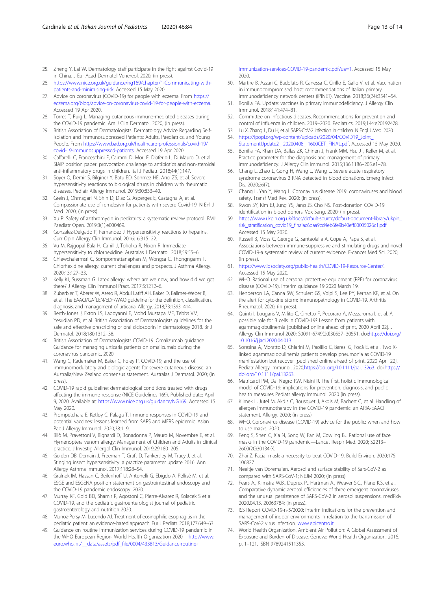- <span id="page-12-0"></span>25. Zheng Y, Lai W. Dermatology staff participate in the fight against Covid-19 in China. J Eur Acad Dermatol Venereol. 2020; (in press).
- 26. [https://www.nice.org.uk/guidance/ng169/chapter/1-Communicating-with](https://www.nice.org.uk/guidance/ng169/chapter/1-Communicating-with-patients-and-minimising-risk)[patients-and-minimising-risk](https://www.nice.org.uk/guidance/ng169/chapter/1-Communicating-with-patients-and-minimising-risk). Accessed 15 May 2020.
- 27. Advice on coronavirus (COVID-19) for people with eczema. From [https://](https://eczema.org/blog/advice-on-coronavirus-covid-19-for-people-with-eczema) [eczema.org/blog/advice-on-coronavirus-covid-19-for-people-with-eczema](https://eczema.org/blog/advice-on-coronavirus-covid-19-for-people-with-eczema). Accessed 19 Apr 2020.
- 28. Torres T, Puig L. Managing cutaneous immune-mediated diseases during the COVID-19 pandemic. Am J Clin Dermatol. 2020; (in press).
- 29. British Association of Dermatologists. Dermatology Advice Regarding Self-Isolation and Immunosuppressed Patients: Adults, Paediatrics, and Young People. From [https://www.bad.org.uk/healthcare-professionals/covid-19/](https://www.bad.org.uk/healthcare-professionals/covid-19/covid-19-immunosuppressed-patients) [covid-19-immunosuppressed-patients](https://www.bad.org.uk/healthcare-professionals/covid-19/covid-19-immunosuppressed-patients). Accessed 19 Apr 2020.
- 30. Caffarelli C, Franceschini F, Caimmi D, Mori F, Diaferio L, Di Mauro D, et al. SIAIP position paper: provocation challenge to antibiotics and non-steroidal anti-inflammatory drugs in children. Ital J Pediatr. 2018;44(1):147.
- 31. Soyer O, Demir S, Bilginer Y, Batu ED, Sonmez HE, Arıcı ZS, et al. Severe hypersensitivity reactions to biological drugs in children with rheumatic diseases. Pediatr Allergy Immunol. 2019;30:833–40.
- 32. Grein J, Ohmagari N, Shin D, Diaz G, Asperges E, Castagna A, et al. Compassionate use of remdesivir for patients with severe Covid-19. N Enl J Med. 2020; (in press).
- 33. Xu P. Safety of azithromycin in pediatrics: a systematic review protocol. BMJ Paediatr Open. 2019;3(1):e000469.
- 34. Gonzalez-Delgado P, Fernandez J. Hypersensitivity reactions to heparins. Curr Opin Allergy Clin Immunol. 2016;16:315–22.
- 35. Vu M, Rajgopal Bala H, Cahill J, Toholka R, Nixon R. Immediate hypersensitivity to chlorhexidine. Australas J Dermatol. 2018;59:55–6.
- 36. Chiewchalermsri C, Sompornrattanaphan M, Wongsa C, Thongngarm T. Chlorhexidine allergy: current challenges and prospects. J Asthma Allergy. 2020;13:127–33.
- 37. Kelly KJ, Sussman G. Latex allergy: where are we now, and how did we get there? J Allergy Clin Immunol Pract. 2017;5:1212–6.
- 38. Zuberbier T, Aberer W, Asero R, Abdul Latiff AH, Baker D, Ballmer-Weber B, et al. The EAACI/GA<sup>2</sup>LEN/EDF/WAO guideline for the definition, classification, diagnosis, and management of urticaria. Allergy. 2018;73:1393–414.
- 39. Berth-Jones J, Exton LS, Ladoyanni E, Mohd Mustapa MF, Tebbs VM, Yesudian PD, et al. British Association of Dermatologists guidelines for the safe and effective prescribing of oral ciclosporin in dermatology 2018. Br J Dermatol. 2018;180:1312–38.
- 40. British Association of Dermatologists COVID-19. Omalizumab guidance. Guidance for managing urticaria patients on omalizumab during the coronavirus pandemic. 2020.
- 41. Wang C, Rademaker M, Baker C, Foley P. COVID-19, and the use of immunomodulatory and biologic agents for severe cutaneous disease: an Australia/New Zealand consensus statement. Australas J Dermatol. 2020; (in press)
- 42. COVID-19 rapid guideline: dermatological conditions treated with drugs affecting the immune response (NICE Guidelines 169). Published date: April 9, 2020. Available at: [https://www.nice.org.uk/guidance/NG169.](https://www.nice.org.uk/guidance/NG169) Accessed 15 May 2020.
- 43. Prompetchara E, Ketloy C, Palaga T. Immune responses in COVID-19 and potential vaccines: lessons learned from SARS and MERS epidemic. Asian Pac J Allergy Immunol. 2020;38:1–9.
- 44. Bilò M, Pravettoni V, Bignardi D, Bonadonna P, Mauro M, Novembre E, et al. Hymenoptera venom allergy: Management of Children and Adults in clinical practice. J Investig Allergol Clin Immunol. 2019;29:180–205.
- 45. Golden DB, Demain J, Freeman T, Graft D, Tankersley M, Tracy J, et al. Stinging insect hypersensitivity: a practice parameter update 2016. Ann Allergy Asthma Immunol. 2017;118:28–54.
- 46. Gralnek IM, Hassan C, Beilenhoff U, Antonelli G, Ebigdo A, Pellisè M, et al. ESGE and ESGENA position statement on gastrointestinal endoscopy and the COVID-19 pandemic endoscopy. 2020.
- 47. Murray KF, Gold BD, Shamir R, Agostoni C, Pierre-Alvarez R, Kolacek S et al. COVID-19, and the pediatric gastroenterologist journal of pediatric gastroenterology and nutrition 2020.
- 48. Munoz-Persy M, Lucendo AJ. Treatment of eosinophilic esophagitis in the pediatric patient: an evidence-based approach. Eur J Pediatr. 2018;177:649–63.
- 49. Guidance on routine immunization services during COVID-19 pandemic in the WHO European Region, World Health Organization 2020 – [http://www.](http://www.euro.who.int/__data/assets/pdf_file/0004/433813/Guidance-routine-immunization-services-COVID-19-pandemic.pdf?ua=1) [euro.who.int/\\_\\_data/assets/pdf\\_file/0004/433813/Guidance-routine-](http://www.euro.who.int/__data/assets/pdf_file/0004/433813/Guidance-routine-immunization-services-COVID-19-pandemic.pdf?ua=1)

[immunization-services-COVID-19-pandemic.pdf?ua=1.](http://www.euro.who.int/__data/assets/pdf_file/0004/433813/Guidance-routine-immunization-services-COVID-19-pandemic.pdf?ua=1) Accessed 15 May 2020.

- 50. Martire B, Azzari C, Badolato R, Canessa C, Cirillo E, Gallo V, et al. Vaccination in immunocompromised host: recommendations of Italian primary immunodeficiency network centers (IPINET). Vaccine. 2018;36(24):3541–54.
- 51. Bonilla FA. Update: vaccines in primary immunodeficiency. J Allergy Clin Immunol. 2018;141:474–81.
- 52. Committee on infectious diseases. Recommendations for prevention and control of influenza in children, 2019–2020. Pediatrics. 2019;144:e20192478.
- 53. Lu X, Zhang L, Du H, et al. SARS-CoV-2 infection in children. N Engl J Med. 2020. 54. [https://ipopi.org/wp-content/uploads/2020/04/COVID19\\_Joint\\_](https://www.ipopi.org/wp-content/uploads/2020/04/COVID19_Joint_StatementUpdate2_20200408_1600CET_FINAL.pdf)
- [StatementUpdate2\\_ 20200408\\_ 1600CET\\_FINAL.pdf](https://www.ipopi.org/wp-content/uploads/2020/04/COVID19_Joint_StatementUpdate2_20200408_1600CET_FINAL.pdf). Accessed 15 May 2020. 55. Bonilla FA, Khan DA, Ballas ZK, Chinen J, Frank MM, Hsu JT, Keller M, et al.
- Practice parameter for the diagnosis and management of primary immunodeficiency. J Allergy Clin Immunol. 2015;136:1186–205.e1–78.
- 56. Chang L, Zhao L, Gong H, Wang L, Wang L. Severe acute respiratory syndrome coronavirus 2 RNA detected in blood donations. Emerg Infect Dis. 2020;26(7).
- 57. Chang L, Yan Y, Wang L. Coronavirus disease 2019: coronaviruses and blood safety. Transf Med Rev. 2020; (in press).
- 58. Kwon SY, Kim EJ, Jung YS, Jang JS, Cho NS. Post-donation COVID-19 identification in blood donors. Vox Sang. 2020; (in press).
- 59. [https://www.ukpin.org.uk/docs/default-source/default-document-library/ukpin\\_](https://www.ukpin.org.uk/docs/default-source/default-document-library/ukpin_risk_stratification_covid19_finalac6baa9cd4eb6fe9b40eff00005026c1.pdf) [risk\\_stratification\\_covid19\\_finalac6baa9cd4eb6fe9b40eff00005026c1.pdf](https://www.ukpin.org.uk/docs/default-source/default-document-library/ukpin_risk_stratification_covid19_finalac6baa9cd4eb6fe9b40eff00005026c1.pdf). Accessed 15 May 2020.
- 60. Russell B, Moss C, George G, Santaolalla A, Cope A, Papa S, et al. Associations between immune-suppressive and stimulating drugs and novel COVID-19-a systematic review of current evidence. E-cancer Med Sci. 2020; (in press).
- 61. [https://www.idsociety.org/public-health/COVID-19-Resource-Center/.](https://www.idsociety.org/public-health/COVID-19-Resource-Center/) Accessed 15 May 2020.
- 62. WHO. Rational use of personal protective equipment (PPE) for coronavirus disease (COVID-19). Interim guidance 19 2020 March 19.
- 63. Henderson LA, Canna SW, Schulert GS, Volpi S, Lee PY, Kernan KF, et al. On the alert for cytokine storm: immunopathology in COVID-19. Arthritis Rheumatol. 2020; (in press).
- 64. Quinti I, Lougaris V, Milito C, Cinetto F, Pecoraro A, Mezzaroma I, et al. A possible role for B cells in COVID-19? Lesson from patients with agammaglobulinemia [published online ahead of print, 2020 April 22]. Allergy Clin Immunol 2020; S0091-6749(20)30557–30551. doi:[https://doi.org/](https://doi.org/10.1016/j.jaci.2020.04.013) [10.1016/j.jaci.2020.04.013](https://doi.org/10.1016/j.jaci.2020.04.013).
- 65. Soresina A, Moratto D, Chiarini M, Paolillo C, Baresi G, Focà E, et al. Two Xlinked agammaglobulinemia patients develop pneumonia as COVID-19 manifestation but recover [published online ahead of print, 2020 April 22]. Pediatr Allergy Immunol. 2020[;https://doi.org/10.1111/pai.13263](https://doi.org/10.1111/pai.13263). doi:[https://](https://doi.org/10.1111/pai.13263) [doi.org/10.1111/pai.13263](https://doi.org/10.1111/pai.13263).
- 66. Matricardi PM, Dal Negro RW, Nisini R. The first, holistic immunological model of COVID-19: implications for prevention, diagnosis, and public health measures Pediatr allergy Immunol. 2020 (in press).
- 67. Klimek L, Jutel M, Akdis C, Bousquet J, Akdis M, Bachert C, et al. Handling of allergen immunotherapy in the COVID-19 pandemic: an ARIA-EAACI statement. Allergy. 2020; (in press).
- 68. WHO. Coronavirus disease (COVID-19) advice for the public: when and how to use masks. 2020.
- 69. Feng S, Shen C, Xia N, Song W, Fan M, Cowling BJ. Rational use of face masks in the COVID-19 pandemic—Lancet Respir Med. 2020; S2213– 2600(20)30134-X.
- 70. Zhai Z. Facial mask: a necessity to beat COVID-19. Build Environ. 2020;175: 106827.
- 71. Neeltje van Doremalen. Aerosol and surface stability of Sars-CoV-2 as compared with SARS-CoV-1; NEJM 2020; (in press).
- 72. Fears A., Klimstra W.B., Duprex P., Hartman A., Weaver S.C., Plane K.S. et al. Comparative dynamic aerosol efficiencies of three emergent coronaviruses and the unusual persistence of SARS-CoV-2 in aerosol suspensions. medRxiv 2020.04.13. 20063784; (in press).
- 73. ISS Report COVID-19-n-5/2020: Interim indications for the prevention and management of indoor environments in relation to the transmission of SARS-CoV-2 virus infection. [www.epicentro.it.](https://www.epicentro.it)
- 74. World Health Organization. Ambient Air Pollution: A Global Assessment of Exposure and Burden of Disease. Geneva: World Health Organization; 2016. p. 1–121. ISBN 9789241511353.